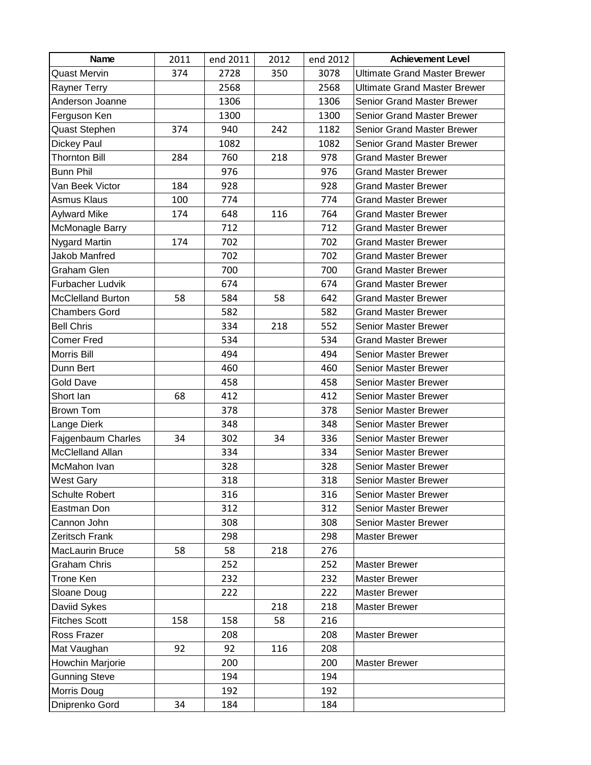| Name                     | 2011 | end 2011 | 2012 | end 2012 | <b>Achievement Level</b>            |
|--------------------------|------|----------|------|----------|-------------------------------------|
| <b>Quast Mervin</b>      | 374  | 2728     | 350  | 3078     | <b>Ultimate Grand Master Brewer</b> |
| Rayner Terry             |      | 2568     |      | 2568     | <b>Ultimate Grand Master Brewer</b> |
| Anderson Joanne          |      | 1306     |      | 1306     | <b>Senior Grand Master Brewer</b>   |
| Ferguson Ken             |      | 1300     |      | 1300     | <b>Senior Grand Master Brewer</b>   |
| Quast Stephen            | 374  | 940      | 242  | 1182     | Senior Grand Master Brewer          |
| Dickey Paul              |      | 1082     |      | 1082     | <b>Senior Grand Master Brewer</b>   |
| <b>Thornton Bill</b>     | 284  | 760      | 218  | 978      | <b>Grand Master Brewer</b>          |
| <b>Bunn Phil</b>         |      | 976      |      | 976      | <b>Grand Master Brewer</b>          |
| Van Beek Victor          | 184  | 928      |      | 928      | <b>Grand Master Brewer</b>          |
| Asmus Klaus              | 100  | 774      |      | 774      | <b>Grand Master Brewer</b>          |
| <b>Aylward Mike</b>      | 174  | 648      | 116  | 764      | <b>Grand Master Brewer</b>          |
| McMonagle Barry          |      | 712      |      | 712      | <b>Grand Master Brewer</b>          |
| <b>Nygard Martin</b>     | 174  | 702      |      | 702      | <b>Grand Master Brewer</b>          |
| <b>Jakob Manfred</b>     |      | 702      |      | 702      | <b>Grand Master Brewer</b>          |
| Graham Glen              |      | 700      |      | 700      | <b>Grand Master Brewer</b>          |
| Furbacher Ludvik         |      | 674      |      | 674      | <b>Grand Master Brewer</b>          |
| <b>McClelland Burton</b> | 58   | 584      | 58   | 642      | <b>Grand Master Brewer</b>          |
| Chambers Gord            |      | 582      |      | 582      | <b>Grand Master Brewer</b>          |
| <b>Bell Chris</b>        |      | 334      | 218  | 552      | <b>Senior Master Brewer</b>         |
| Comer Fred               |      | 534      |      | 534      | <b>Grand Master Brewer</b>          |
| Morris Bill              |      | 494      |      | 494      | Senior Master Brewer                |
| Dunn Bert                |      | 460      |      | 460      | Senior Master Brewer                |
| <b>Gold Dave</b>         |      | 458      |      | 458      | Senior Master Brewer                |
| Short lan                | 68   | 412      |      | 412      | Senior Master Brewer                |
| <b>Brown Tom</b>         |      | 378      |      | 378      | <b>Senior Master Brewer</b>         |
| Lange Dierk              |      | 348      |      | 348      | Senior Master Brewer                |
| Fajgenbaum Charles       | 34   | 302      | 34   | 336      | Senior Master Brewer                |
| <b>McClelland Allan</b>  |      | 334      |      | 334      | Senior Master Brewer                |
| McMahon Ivan             |      | 328      |      | 328      | Senior Master Brewer                |
| <b>West Gary</b>         |      | 318      |      | 318      | Senior Master Brewer                |
| <b>Schulte Robert</b>    |      | 316      |      | 316      | Senior Master Brewer                |
| Eastman Don              |      | 312      |      | 312      | Senior Master Brewer                |
| Cannon John              |      | 308      |      | 308      | Senior Master Brewer                |
| Zeritsch Frank           |      | 298      |      | 298      | <b>Master Brewer</b>                |
| MacLaurin Bruce          | 58   | 58       | 218  | 276      |                                     |
| <b>Graham Chris</b>      |      | 252      |      | 252      | <b>Master Brewer</b>                |
| Trone Ken                |      | 232      |      | 232      | <b>Master Brewer</b>                |
| Sloane Doug              |      | 222      |      | 222      | <b>Master Brewer</b>                |
| Daviid Sykes             |      |          | 218  | 218      | <b>Master Brewer</b>                |
| <b>Fitches Scott</b>     | 158  | 158      | 58   | 216      |                                     |
| Ross Frazer              |      | 208      |      | 208      | <b>Master Brewer</b>                |
| Mat Vaughan              | 92   | 92       | 116  | 208      |                                     |
| Howchin Marjorie         |      | 200      |      | 200      | <b>Master Brewer</b>                |
| <b>Gunning Steve</b>     |      | 194      |      | 194      |                                     |
| Morris Doug              |      | 192      |      | 192      |                                     |
| Dniprenko Gord           | 34   | 184      |      | 184      |                                     |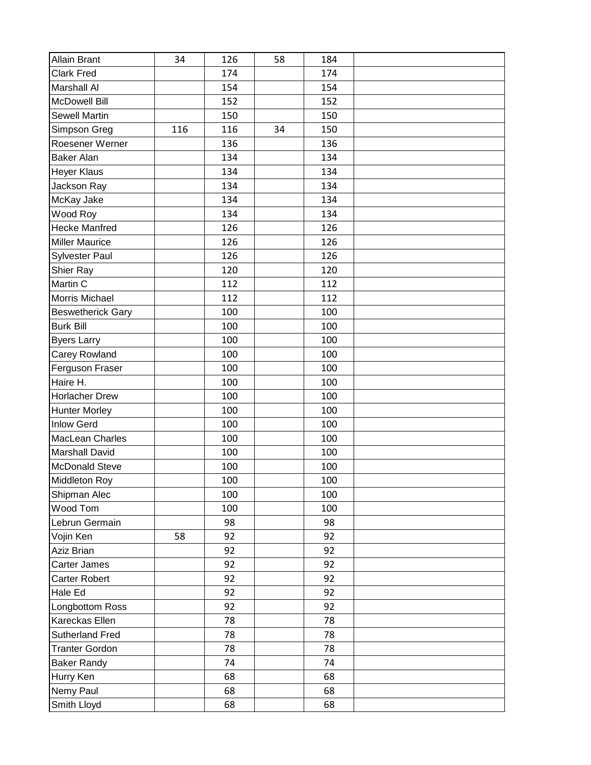| Allain Brant             | 34  | 126 | 58 | 184 |  |
|--------------------------|-----|-----|----|-----|--|
| <b>Clark Fred</b>        |     | 174 |    | 174 |  |
| <b>Marshall Al</b>       |     | 154 |    | 154 |  |
| <b>McDowell Bill</b>     |     | 152 |    | 152 |  |
| <b>Sewell Martin</b>     |     | 150 |    | 150 |  |
| Simpson Greg             | 116 | 116 | 34 | 150 |  |
| Roesener Werner          |     | 136 |    | 136 |  |
| <b>Baker Alan</b>        |     | 134 |    | 134 |  |
| <b>Heyer Klaus</b>       |     | 134 |    | 134 |  |
| Jackson Ray              |     | 134 |    | 134 |  |
| McKay Jake               |     | 134 |    | 134 |  |
| Wood Roy                 |     | 134 |    | 134 |  |
| <b>Hecke Manfred</b>     |     | 126 |    | 126 |  |
| <b>Miller Maurice</b>    |     | 126 |    | 126 |  |
| <b>Sylvester Paul</b>    |     | 126 |    | 126 |  |
| <b>Shier Ray</b>         |     | 120 |    | 120 |  |
| Martin C                 |     | 112 |    | 112 |  |
| Morris Michael           |     | 112 |    | 112 |  |
| <b>Beswetherick Gary</b> |     | 100 |    | 100 |  |
| <b>Burk Bill</b>         |     | 100 |    | 100 |  |
| <b>Byers Larry</b>       |     | 100 |    | 100 |  |
| <b>Carey Rowland</b>     |     | 100 |    | 100 |  |
| Ferguson Fraser          |     | 100 |    | 100 |  |
| Haire H.                 |     | 100 |    | 100 |  |
| <b>Horlacher Drew</b>    |     | 100 |    | 100 |  |
| <b>Hunter Morley</b>     |     | 100 |    | 100 |  |
| <b>Inlow Gerd</b>        |     | 100 |    | 100 |  |
| MacLean Charles          |     | 100 |    | 100 |  |
| <b>Marshall David</b>    |     | 100 |    | 100 |  |
| <b>McDonald Steve</b>    |     | 100 |    | 100 |  |
| Middleton Roy            |     | 100 |    | 100 |  |
| Shipman Alec             |     | 100 |    | 100 |  |
| Wood Tom                 |     | 100 |    | 100 |  |
| Lebrun Germain           |     | 98  |    | 98  |  |
| Vojin Ken                | 58  | 92  |    | 92  |  |
| Aziz Brian               |     | 92  |    | 92  |  |
| <b>Carter James</b>      |     | 92  |    | 92  |  |
| <b>Carter Robert</b>     |     | 92  |    | 92  |  |
| Hale Ed                  |     | 92  |    | 92  |  |
| Longbottom Ross          |     | 92  |    | 92  |  |
| Kareckas Ellen           |     | 78  |    | 78  |  |
| <b>Sutherland Fred</b>   |     | 78  |    | 78  |  |
| <b>Tranter Gordon</b>    |     | 78  |    | 78  |  |
| <b>Baker Randy</b>       |     | 74  |    | 74  |  |
| Hurry Ken                |     | 68  |    | 68  |  |
| Nemy Paul                |     | 68  |    | 68  |  |
| Smith Lloyd              |     | 68  |    | 68  |  |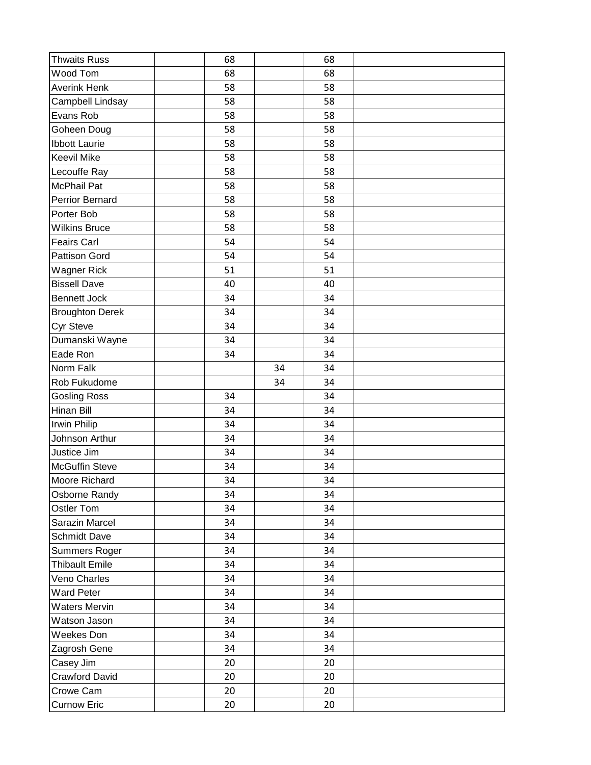| <b>Thwaits Russ</b>    | 68 |    | 68 |  |
|------------------------|----|----|----|--|
| Wood Tom               | 68 |    | 68 |  |
| <b>Averink Henk</b>    | 58 |    | 58 |  |
| Campbell Lindsay       | 58 |    | 58 |  |
| Evans Rob              | 58 |    | 58 |  |
| Goheen Doug            | 58 |    | 58 |  |
| <b>Ibbott Laurie</b>   | 58 |    | 58 |  |
| <b>Keevil Mike</b>     | 58 |    | 58 |  |
| Lecouffe Ray           | 58 |    | 58 |  |
| <b>McPhail Pat</b>     | 58 |    | 58 |  |
| <b>Perrior Bernard</b> | 58 |    | 58 |  |
| Porter Bob             | 58 |    | 58 |  |
| <b>Wilkins Bruce</b>   | 58 |    | 58 |  |
| <b>Feairs Carl</b>     | 54 |    | 54 |  |
| <b>Pattison Gord</b>   | 54 |    | 54 |  |
| <b>Wagner Rick</b>     | 51 |    | 51 |  |
| <b>Bissell Dave</b>    | 40 |    | 40 |  |
| <b>Bennett Jock</b>    | 34 |    | 34 |  |
| <b>Broughton Derek</b> | 34 |    | 34 |  |
| Cyr Steve              | 34 |    | 34 |  |
| Dumanski Wayne         | 34 |    | 34 |  |
| Eade Ron               | 34 |    | 34 |  |
| Norm Falk              |    | 34 | 34 |  |
| Rob Fukudome           |    | 34 | 34 |  |
| <b>Gosling Ross</b>    | 34 |    | 34 |  |
| Hinan Bill             | 34 |    | 34 |  |
| Irwin Philip           | 34 |    | 34 |  |
| Johnson Arthur         | 34 |    | 34 |  |
| Justice Jim            | 34 |    | 34 |  |
| <b>McGuffin Steve</b>  | 34 |    | 34 |  |
| Moore Richard          | 34 |    | 34 |  |
| Osborne Randy          | 34 |    | 34 |  |
| <b>Ostler Tom</b>      | 34 |    | 34 |  |
| Sarazin Marcel         | 34 |    | 34 |  |
| <b>Schmidt Dave</b>    | 34 |    | 34 |  |
| Summers Roger          | 34 |    | 34 |  |
| <b>Thibault Emile</b>  | 34 |    | 34 |  |
| Veno Charles           | 34 |    | 34 |  |
| <b>Ward Peter</b>      | 34 |    | 34 |  |
| <b>Waters Mervin</b>   | 34 |    | 34 |  |
| Watson Jason           | 34 |    | 34 |  |
| Weekes Don             | 34 |    | 34 |  |
| Zagrosh Gene           | 34 |    | 34 |  |
| Casey Jim              | 20 |    | 20 |  |
| Crawford David         | 20 |    | 20 |  |
| Crowe Cam              | 20 |    | 20 |  |
| <b>Curnow Eric</b>     | 20 |    | 20 |  |